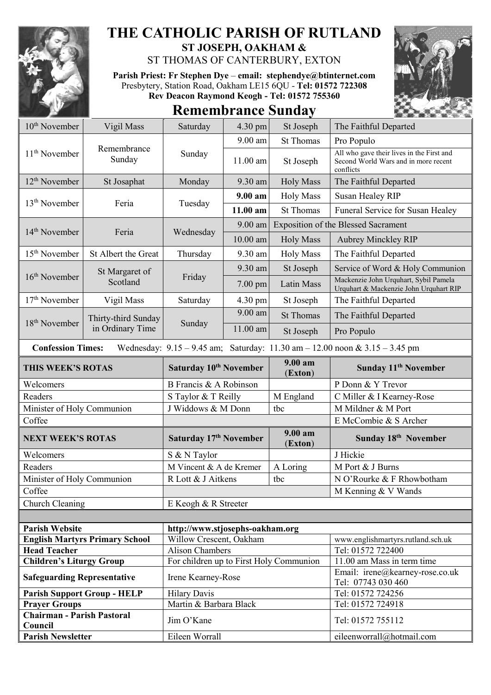

## **THE CATHOLIC PARISH OF RUTLAND**

**ST JOSEPH, OAKHAM &**  ST THOMAS OF CANTERBURY, EXTON

**Parish Priest: Fr Stephen Dye** – **[email: stephendye@btinternet.com](mailto:email:%20%20stephendye@btinternet.com)** Presbytery, Station Road, Oakham LE15 6QU - **Tel: 01572 722308 Rev Deacon Raymond Keogh - Tel: 01572 755360**



## **Remembrance Sunday**

| $10th$ November                                                                                                 | Vigil Mass                            | Saturday                                | 4.30 pm    | St Joseph                                  | The Faithful Departed                                                                          |
|-----------------------------------------------------------------------------------------------------------------|---------------------------------------|-----------------------------------------|------------|--------------------------------------------|------------------------------------------------------------------------------------------------|
| 11 <sup>th</sup> November                                                                                       | Remembrance<br>Sunday                 | Sunday                                  | 9.00 am    | <b>St Thomas</b>                           | Pro Populo                                                                                     |
|                                                                                                                 |                                       |                                         | 11.00 am   | St Joseph                                  | All who gave their lives in the First and<br>Second World Wars and in more recent<br>conflicts |
| 12 <sup>th</sup> November                                                                                       | St Josaphat                           | Monday                                  | 9.30 am    | <b>Holy Mass</b>                           | The Faithful Departed                                                                          |
| 13 <sup>th</sup> November                                                                                       | Feria                                 |                                         | 9.00 am    | <b>Holy Mass</b>                           | Susan Healey RIP                                                                               |
|                                                                                                                 |                                       | Tuesday                                 | 11.00 am   | <b>St Thomas</b>                           | Funeral Service for Susan Healey                                                               |
| 14 <sup>th</sup> November                                                                                       | Feria                                 | Wednesday                               | $9.00$ am  | <b>Exposition of the Blessed Sacrament</b> |                                                                                                |
|                                                                                                                 |                                       |                                         | $10.00$ am | <b>Holy Mass</b>                           | <b>Aubrey Minckley RIP</b>                                                                     |
| 15 <sup>th</sup> November                                                                                       | St Albert the Great                   | Thursday                                | 9.30 am    | <b>Holy Mass</b>                           | The Faithful Departed                                                                          |
|                                                                                                                 | St Margaret of                        |                                         | 9.30 am    | St Joseph                                  | Service of Word & Holy Communion                                                               |
| $16th$ November                                                                                                 | Scotland                              | Friday                                  | $7.00$ pm  | Latin Mass                                 | Mackenzie John Urquhart, Sybil Pamela<br>Urquhart & Mackenzie John Urquhart RIP                |
| $17th$ November                                                                                                 | Vigil Mass                            | Saturday                                | 4.30 pm    | St Joseph                                  | The Faithful Departed                                                                          |
|                                                                                                                 | Thirty-third Sunday                   |                                         | 9.00 am    | <b>St Thomas</b>                           | The Faithful Departed                                                                          |
| 18 <sup>th</sup> November                                                                                       | in Ordinary Time                      | Sunday                                  | 11.00 am   | St Joseph                                  | Pro Populo                                                                                     |
| Wednesday: $9.15 - 9.45$ am; Saturday: $11.30$ am $- 12.00$ noon & $3.15 - 3.45$ pm<br><b>Confession Times:</b> |                                       |                                         |            |                                            |                                                                                                |
| THIS WEEK'S ROTAS                                                                                               |                                       | Saturday 10th November                  |            |                                            |                                                                                                |
|                                                                                                                 |                                       |                                         |            | $9.00 a$ m<br>(Exton)                      | Sunday 11 <sup>th</sup> November                                                               |
| Welcomers                                                                                                       |                                       | B Francis & A Robinson                  |            |                                            | P Donn & Y Trevor                                                                              |
| Readers                                                                                                         |                                       | S Taylor & T Reilly                     |            | M England                                  | C Miller & I Kearney-Rose                                                                      |
| Minister of Holy Communion                                                                                      |                                       | J Widdows & M Donn                      |            | tbc                                        | M Mildner & M Port                                                                             |
| Coffee                                                                                                          |                                       |                                         |            |                                            | E McCombie & S Archer                                                                          |
| <b>NEXT WEEK'S ROTAS</b>                                                                                        |                                       | Saturday 17th November                  |            | $9.00 a$ m<br>(Exton)                      | Sunday 18th November                                                                           |
| Welcomers                                                                                                       |                                       | S & N Taylor                            |            |                                            | J Hickie                                                                                       |
| Readers                                                                                                         |                                       | M Vincent & A de Kremer                 |            | A Loring                                   | M Port & J Burns                                                                               |
|                                                                                                                 |                                       | R Lott & J Aitkens                      |            | tbc                                        | N O'Rourke & F Rhowbotham                                                                      |
| Minister of Holy Communion<br>Coffee                                                                            |                                       |                                         |            |                                            | M Kenning & V Wands                                                                            |
| Church Cleaning                                                                                                 |                                       | E Keogh & R Streeter                    |            |                                            |                                                                                                |
|                                                                                                                 |                                       |                                         |            |                                            |                                                                                                |
| <b>Parish Website</b>                                                                                           |                                       | http://www.stjosephs-oakham.org         |            |                                            |                                                                                                |
|                                                                                                                 | <b>English Martyrs Primary School</b> | Willow Crescent, Oakham                 |            |                                            | www.englishmartyrs.rutland.sch.uk                                                              |
| <b>Head Teacher</b>                                                                                             |                                       | <b>Alison Chambers</b>                  |            |                                            | Tel: 01572 722400                                                                              |
| <b>Children's Liturgy Group</b>                                                                                 |                                       | For children up to First Holy Communion |            |                                            | 11.00 am Mass in term time                                                                     |
| <b>Safeguarding Representative</b>                                                                              |                                       | Irene Kearney-Rose                      |            |                                            | Email: irene@kearney-rose.co.uk<br>Tel: 07743 030 460                                          |
|                                                                                                                 | <b>Parish Support Group - HELP</b>    | <b>Hilary Davis</b>                     |            |                                            | Tel: 01572 724256                                                                              |

Council **Council** Tel: 01572 755112

**Parish Newsletter** Eileen Worrall Eileen Worrall [eileenworrall@hotmail.com](mailto:eileenworrall@hotmail.com)

**Chairman - Parish Pastoral**